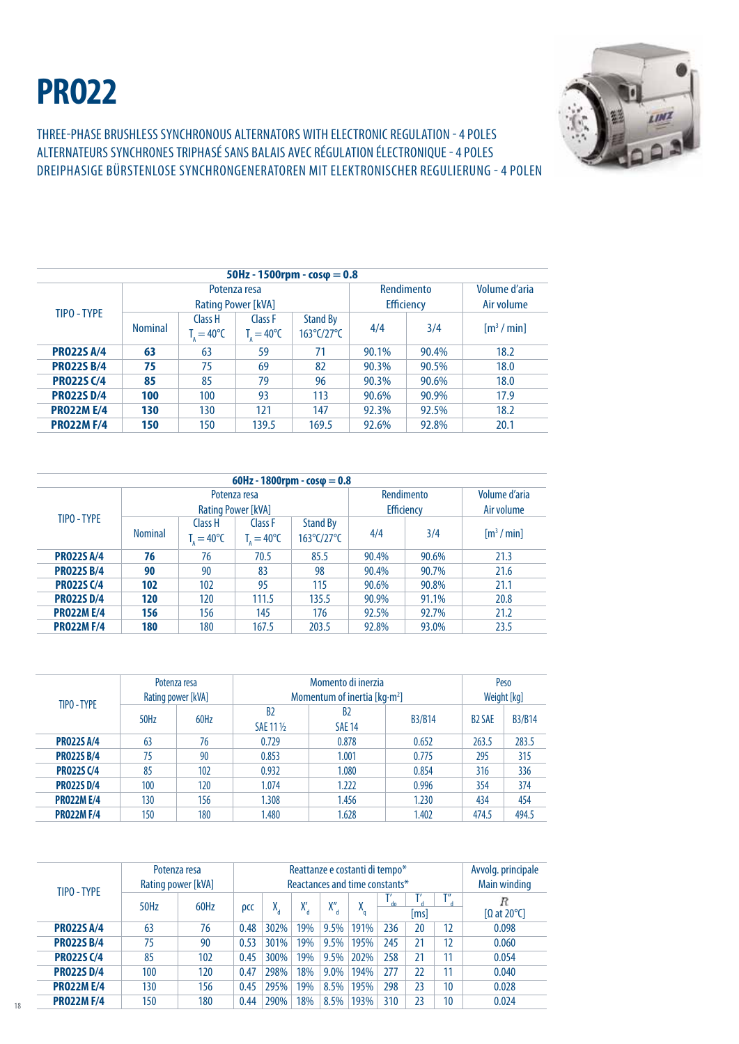## **PRO22**



Three-phase brushlesssynchronous alternators with electronic regulation - 4 poles ALTERNATEURS SYNCHRONES triphasÉ SANS BALAIS AVEC RÉGULATION ÉLECTRONIQUE - 4 POLES dreiphasige BÜRSTENLOSE SYNCHRONGENERATOREN MIT ELEKTRONISCHER REGULIERUNG - 4 POLen

| $50$ Hz - 1500rpm - $cos\phi = 0.8$ |                |                                    |                                           |                                                    |                                 |                             |                                      |  |  |
|-------------------------------------|----------------|------------------------------------|-------------------------------------------|----------------------------------------------------|---------------------------------|-----------------------------|--------------------------------------|--|--|
| TIPO - TYPF                         |                |                                    | Potenza resa<br><b>Rating Power [kVA]</b> |                                                    | Rendimento<br><b>Efficiency</b> | Volume d'aria<br>Air volume |                                      |  |  |
|                                     | <b>Nominal</b> | Class H<br>$T_{\rm g}=40^{\circ}C$ | Class F<br>$T_{1} = 40^{\circ}C$          | <b>Stand By</b><br>$163^{\circ}$ C/27 $^{\circ}$ C | 4/4                             | 3/4                         | $\left[\text{m}^3/\text{min}\right]$ |  |  |
| <b>PRO22S A/4</b>                   | 63             | 63                                 | 59                                        | 71                                                 | 90.1%                           | 90.4%                       | 18.2                                 |  |  |
| <b>PR022S B/4</b>                   | 75             | 75                                 | 69                                        | 82                                                 | 90.3%                           | 90.5%                       | 18.0                                 |  |  |
| <b>PRO22S C/4</b>                   | 85             | 85                                 | 79                                        | 96                                                 | 90.3%                           | 90.6%                       | 18.0                                 |  |  |
| <b>PRO22S D/4</b>                   | 100            | 100                                | 93                                        | 113                                                | 90.6%                           | 90.9%                       | 17.9                                 |  |  |
| <b>PRO22M E/4</b>                   | 130            | 130                                | 121                                       | 147                                                | 92.3%                           | 92.5%                       | 18.2                                 |  |  |
| <b>PRO22M F/4</b>                   | 150            | 150                                | 139.5                                     | 169.5                                              | 92.6%                           | 92.8%                       | 20.1                                 |  |  |

| 60Hz - 1800rpm - $cos\phi = 0.8$ |                |                                                     |                                           |                                                    |                                 |                             |                                      |  |  |
|----------------------------------|----------------|-----------------------------------------------------|-------------------------------------------|----------------------------------------------------|---------------------------------|-----------------------------|--------------------------------------|--|--|
|                                  |                |                                                     | Potenza resa<br><b>Rating Power [kVA]</b> |                                                    | Rendimento<br><b>Efficiency</b> | Volume d'aria<br>Air volume |                                      |  |  |
| TIPO - TYPE                      | <b>Nominal</b> | Class H<br>$T_{\scriptscriptstyle A} = 40^{\circ}C$ | Class F<br>$T_{1} = 40^{\circ}C$          | <b>Stand By</b><br>$163^{\circ}$ C/27 $^{\circ}$ C | 4/4                             | 3/4                         | $\left[\text{m}^3/\text{min}\right]$ |  |  |
| <b>PRO22S A/4</b>                | 76             | 76                                                  | 70.5                                      | 85.5                                               | 90.4%                           | 90.6%                       | 21.3                                 |  |  |
| <b>PR022S B/4</b>                | 90             | 90                                                  | 83                                        | 98                                                 | 90.4%                           | 90.7%                       | 21.6                                 |  |  |
| <b>PR022S C/4</b>                | 102            | 102                                                 |                                           | 115                                                | 90.6%                           | 90.8%                       | 21.1                                 |  |  |
| <b>PRO22S D/4</b>                | 120            | 120<br>111.5                                        |                                           | 135.5                                              | 90.9%                           | 91.1%                       | 20.8                                 |  |  |
| <b>PRO22M E/4</b>                | 156            | 156                                                 | 145                                       | 176                                                | 92.5%                           | 92.7%                       | 21.2                                 |  |  |
| <b>PRO22M F/4</b>                | 180            | 180                                                 | 167.5                                     | 203.5                                              | 92.8%                           | 93.0%                       | 23.5                                 |  |  |

| TIPO - TYPE       | Potenza resa<br>Rating power [kVA] |      | Momentum of inertia [ $kg·m2$ ] | Peso<br>Weight [kg]             |               |                          |               |
|-------------------|------------------------------------|------|---------------------------------|---------------------------------|---------------|--------------------------|---------------|
|                   | 50Hz                               | 60Hz | B <sub>2</sub><br>SAE 11 1/2    | B <sub>2</sub><br><b>SAE 14</b> | <b>B3/B14</b> | <b>B<sub>2</sub></b> SAE | <b>B3/B14</b> |
| <b>PRO22S A/4</b> | 63                                 | 76   | 0.729                           | 0.878                           | 0.652         | 263.5                    | 283.5         |
| <b>PRO22S B/4</b> | 75                                 | 90   | 0.853                           | 1.001                           | 0.775         | 295                      | 315           |
| <b>PR022S C/4</b> | 85                                 | 102  | 0.932                           | 1.080                           | 0.854         | 316                      | 336           |
| <b>PRO22S D/4</b> | 100                                | 120  | 1.074                           | 1.222                           | 0.996         | 354                      | 374           |
| <b>PRO22M E/4</b> | 130                                | 156  | 1.308                           | 1.456                           | 1.230         | 434                      | 454           |
| <b>PRO22M F/4</b> | 150                                | 180  | 1.480                           | .628                            | 1.402         | 474.5                    | 494.5         |

| TIPO - TYPE       | Potenza resa<br>Rating power [kVA] |      | Reattanze e costanti di tempo*<br>Reactances and time constants* |      |         |      |        |     |             |                    | Avvolg. principale<br>Main winding |
|-------------------|------------------------------------|------|------------------------------------------------------------------|------|---------|------|--------|-----|-------------|--------------------|------------------------------------|
|                   | 50Hz                               | 60Hz | <b>DCC</b>                                                       | Х.   | v<br>Λ. | X''  | v<br>Λ | do. | т,<br>lms l | $T^{\prime\prime}$ | R<br>$\Omega$ at 20°Cl             |
| <b>PR022S A/4</b> | 63                                 | 76   | 0.48                                                             | 302% | 19%     | 9.5% | 191%   | 236 | 20          | 12                 | 0.098                              |
| <b>PR022S B/4</b> | 75                                 | 90   | 0.53                                                             | 301% | 19%     | 9.5% | 195%   | 245 | 21          | 12                 | 0.060                              |
| <b>PRO22S C/4</b> | 85                                 | 102  | 0.45                                                             | 300% | 19%     | 9.5% | 202%   | 258 | 21          | 11                 | 0.054                              |
| <b>PR022SD/4</b>  | 100                                | 120  | 0.47                                                             | 298% | 18%     | 9.0% | 194%   | 277 | 22          | 11                 | 0.040                              |
| <b>PRO22M E/4</b> | 130                                | 156  | 0.45                                                             | 295% | 19%     | 8.5% | 195%   | 298 | 23          | 10                 | 0.028                              |
| <b>PRO22M F/4</b> | 150                                | 180  | 0.44                                                             | 290% | 18%     | 8.5% | 193%   | 310 | 23          | 10                 | 0.024                              |